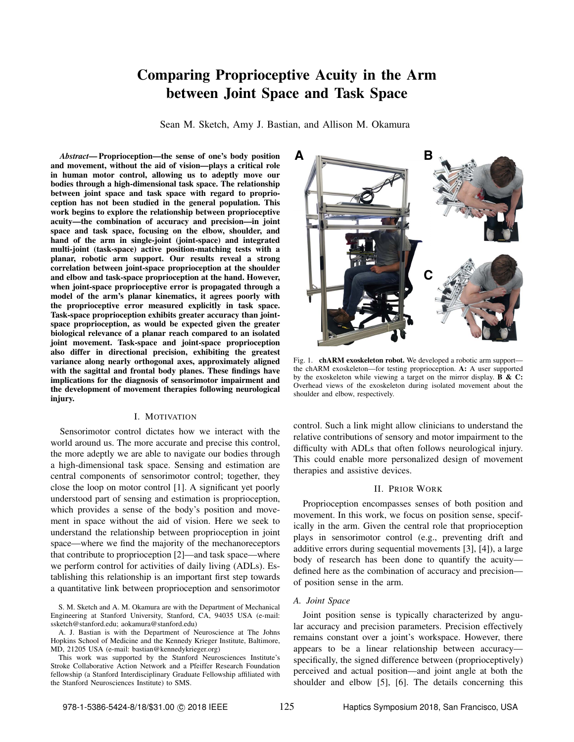# Comparing Proprioceptive Acuity in the Arm between Joint Space and Task Space

Sean M. Sketch, Amy J. Bastian, and Allison M. Okamura

*Abstract*— Proprioception—the sense of one's body position and movement, without the aid of vision—plays a critical role in human motor control, allowing us to adeptly move our bodies through a high-dimensional task space. The relationship between joint space and task space with regard to proprioception has not been studied in the general population. This work begins to explore the relationship between proprioceptive acuity—the combination of accuracy and precision—in joint space and task space, focusing on the elbow, shoulder, and hand of the arm in single-joint (joint-space) and integrated multi-joint (task-space) active position-matching tests with a planar, robotic arm support. Our results reveal a strong correlation between joint-space proprioception at the shoulder and elbow and task-space proprioception at the hand. However, when joint-space proprioceptive error is propagated through a model of the arm's planar kinematics, it agrees poorly with the proprioceptive error measured explicitly in task space. Task-space proprioception exhibits greater accuracy than jointspace proprioception, as would be expected given the greater biological relevance of a planar reach compared to an isolated joint movement. Task-space and joint-space proprioception also differ in directional precision, exhibiting the greatest variance along nearly orthogonal axes, approximately aligned with the sagittal and frontal body planes. These findings have implications for the diagnosis of sensorimotor impairment and the development of movement therapies following neurological injury.

## I. MOTIVATION

Sensorimotor control dictates how we interact with the world around us. The more accurate and precise this control, the more adeptly we are able to navigate our bodies through a high-dimensional task space. Sensing and estimation are central components of sensorimotor control; together, they close the loop on motor control [1]. A significant yet poorly understood part of sensing and estimation is proprioception, which provides a sense of the body's position and movement in space without the aid of vision. Here we seek to understand the relationship between proprioception in joint space—where we find the majority of the mechanoreceptors that contribute to proprioception [2]—and task space—where we perform control for activities of daily living (ADLs). Establishing this relationship is an important first step towards a quantitative link between proprioception and sensorimotor

S. M. Sketch and A. M. Okamura are with the Department of Mechanical Engineering at Stanford University, Stanford, CA, 94035 USA (e-mail: ssketch@stanford.edu; aokamura@stanford.edu)

A. J. Bastian is with the Department of Neuroscience at The Johns Hopkins School of Medicine and the Kennedy Krieger Institute, Baltimore, MD, 21205 USA (e-mail: bastian@kennedykrieger.org)

This work was supported by the Stanford Neurosciences Institute's Stroke Collaborative Action Network and a Pfeiffer Research Foundation fellowship (a Stanford Interdisciplinary Graduate Fellowship affiliated with the Stanford Neurosciences Institute) to SMS.



Fig. 1. chARM exoskeleton robot. We developed a robotic arm supportthe chARM exoskeleton—for testing proprioception. A: A user supported by the exoskeleton while viewing a target on the mirror display. **B** & C: Overhead views of the exoskeleton during isolated movement about the shoulder and elbow, respectively.

control. Such a link might allow clinicians to understand the relative contributions of sensory and motor impairment to the difficulty with ADLs that often follows neurological injury. This could enable more personalized design of movement therapies and assistive devices.

#### II. PRIOR WORK

Proprioception encompasses senses of both position and movement. In this work, we focus on position sense, specifically in the arm. Given the central role that proprioception plays in sensorimotor control (e.g., preventing drift and additive errors during sequential movements [3], [4]), a large body of research has been done to quantify the acuity defined here as the combination of accuracy and precision of position sense in the arm.

#### *A. Joint Space*

Joint position sense is typically characterized by angular accuracy and precision parameters. Precision effectively remains constant over a joint's workspace. However, there appears to be a linear relationship between accuracy specifically, the signed difference between (proprioceptively) perceived and actual position—and joint angle at both the shoulder and elbow [5], [6]. The details concerning this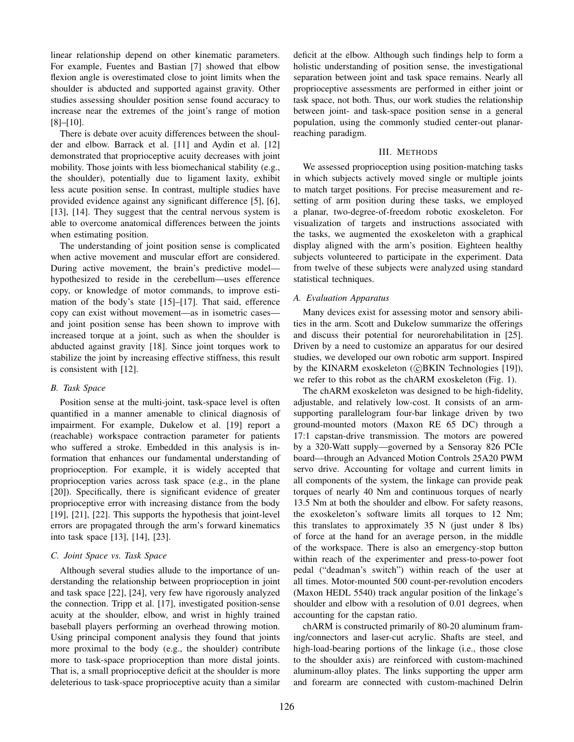linear relationship depend on other kinematic parameters. For example, Fuentes and Bastian [7] showed that elbow flexion angle is overestimated close to joint limits when the shoulder is abducted and supported against gravity. Other studies assessing shoulder position sense found accuracy to increase near the extremes of the joint's range of motion [8]–[10].

There is debate over acuity differences between the shoulder and elbow. Barrack et al. [11] and Aydin et al. [12] demonstrated that proprioceptive acuity decreases with joint mobility. Those joints with less biomechanical stability (e.g., the shoulder), potentially due to ligament laxity, exhibit less acute position sense. In contrast, multiple studies have provided evidence against any significant difference [5], [6], [13], [14]. They suggest that the central nervous system is able to overcome anatomical differences between the joints when estimating position.

The understanding of joint position sense is complicated when active movement and muscular effort are considered. During active movement, the brain's predictive model hypothesized to reside in the cerebellum—uses efference copy, or knowledge of motor commands, to improve estimation of the body's state [15]–[17]. That said, efference copy can exist without movement—as in isometric cases and joint position sense has been shown to improve with increased torque at a joint, such as when the shoulder is abducted against gravity [18]. Since joint torques work to stabilize the joint by increasing effective stiffness, this result is consistent with [12].

# *B. Task Space*

Position sense at the multi-joint, task-space level is often quantified in a manner amenable to clinical diagnosis of impairment. For example, Dukelow et al. [19] report a (reachable) workspace contraction parameter for patients who suffered a stroke. Embedded in this analysis is information that enhances our fundamental understanding of proprioception. For example, it is widely accepted that proprioception varies across task space (e.g., in the plane [20]). Specifically, there is significant evidence of greater proprioceptive error with increasing distance from the body [19], [21], [22]. This supports the hypothesis that joint-level errors are propagated through the arm's forward kinematics into task space [13], [14], [23].

# *C. Joint Space vs. Task Space*

Although several studies allude to the importance of understanding the relationship between proprioception in joint and task space [22], [24], very few have rigorously analyzed the connection. Tripp et al. [17], investigated position-sense acuity at the shoulder, elbow, and wrist in highly trained baseball players performing an overhead throwing motion. Using principal component analysis they found that joints more proximal to the body (e.g., the shoulder) contribute more to task-space proprioception than more distal joints. That is, a small proprioceptive deficit at the shoulder is more deleterious to task-space proprioceptive acuity than a similar

deficit at the elbow. Although such findings help to form a holistic understanding of position sense, the investigational separation between joint and task space remains. Nearly all proprioceptive assessments are performed in either joint or task space, not both. Thus, our work studies the relationship between joint- and task-space position sense in a general population, using the commonly studied center-out planarreaching paradigm.

# III. METHODS

We assessed proprioception using position-matching tasks in which subjects actively moved single or multiple joints to match target positions. For precise measurement and resetting of arm position during these tasks, we employed a planar, two-degree-of-freedom robotic exoskeleton. For visualization of targets and instructions associated with the tasks, we augmented the exoskeleton with a graphical display aligned with the arm's position. Eighteen healthy subjects volunteered to participate in the experiment. Data from twelve of these subjects were analyzed using standard statistical techniques.

# *A. Evaluation Apparatus*

Many devices exist for assessing motor and sensory abilities in the arm. Scott and Dukelow summarize the offerings and discuss their potential for neurorehabilitation in [25]. Driven by a need to customize an apparatus for our desired studies, we developed our own robotic arm support. Inspired by the KINARM exoskeleton (CBKIN Technologies [19]), we refer to this robot as the chARM exoskeleton (Fig. 1).

The chARM exoskeleton was designed to be high-fidelity, adjustable, and relatively low-cost. It consists of an armsupporting parallelogram four-bar linkage driven by two ground-mounted motors (Maxon RE 65 DC) through a 17:1 capstan-drive transmission. The motors are powered by a 320-Watt supply—governed by a Sensoray 826 PCIe board—through an Advanced Motion Controls 25A20 PWM servo drive. Accounting for voltage and current limits in all components of the system, the linkage can provide peak torques of nearly 40 Nm and continuous torques of nearly 13.5 Nm at both the shoulder and elbow. For safety reasons, the exoskeleton's software limits all torques to 12 Nm; this translates to approximately 35 N (just under 8 lbs) of force at the hand for an average person, in the middle of the workspace. There is also an emergency-stop button within reach of the experimenter and press-to-power foot pedal ("deadman's switch") within reach of the user at all times. Motor-mounted 500 count-per-revolution encoders (Maxon HEDL 5540) track angular position of the linkage's shoulder and elbow with a resolution of 0.01 degrees, when accounting for the capstan ratio.

chARM is constructed primarily of 80-20 aluminum framing/connectors and laser-cut acrylic. Shafts are steel, and high-load-bearing portions of the linkage (i.e., those close to the shoulder axis) are reinforced with custom-machined aluminum-alloy plates. The links supporting the upper arm and forearm are connected with custom-machined Delrin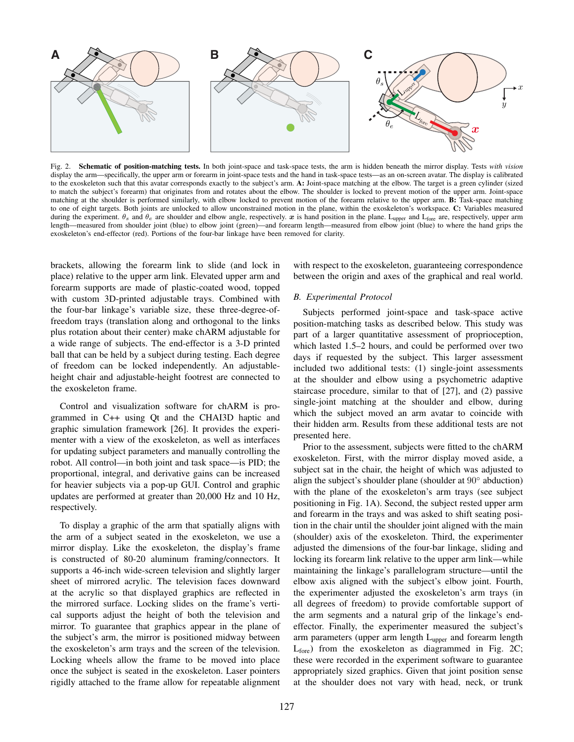

Fig. 2. Schematic of position-matching tests. In both joint-space and task-space tests, the arm is hidden beneath the mirror display. Tests *with vision* display the arm—specifically, the upper arm or forearm in joint-space tests and the hand in task-space tests—as an on-screen avatar. The display is calibrated to the exoskeleton such that this avatar corresponds exactly to the subject's arm. A: Joint-space matching at the elbow. The target is a green cylinder (sized to match the subject's forearm) that originates from and rotates about the elbow. The shoulder is locked to prevent motion of the upper arm. Joint-space matching at the shoulder is performed similarly, with elbow locked to prevent motion of the forearm relative to the upper arm. B: Task-space matching to one of eight targets. Both joints are unlocked to allow unconstrained motion in the plane, within the exoskeleton's workspace. C: Variables measured during the experiment.  $\theta_s$  and  $\theta_e$  are shoulder and elbow angle, respectively.  $x$  is hand position in the plane. Lupper and L<sub>fore</sub> are, respectively, upper arm length—measured from shoulder joint (blue) to elbow joint (green)—and forearm length—measured from elbow joint (blue) to where the hand grips the exoskeleton's end-effector (red). Portions of the four-bar linkage have been removed for clarity.

brackets, allowing the forearm link to slide (and lock in place) relative to the upper arm link. Elevated upper arm and forearm supports are made of plastic-coated wood, topped with custom 3D-printed adjustable trays. Combined with the four-bar linkage's variable size, these three-degree-offreedom trays (translation along and orthogonal to the links plus rotation about their center) make chARM adjustable for a wide range of subjects. The end-effector is a 3-D printed ball that can be held by a subject during testing. Each degree of freedom can be locked independently. An adjustableheight chair and adjustable-height footrest are connected to the exoskeleton frame.

Control and visualization software for chARM is programmed in C++ using Qt and the CHAI3D haptic and graphic simulation framework [26]. It provides the experimenter with a view of the exoskeleton, as well as interfaces for updating subject parameters and manually controlling the robot. All control—in both joint and task space—is PID; the proportional, integral, and derivative gains can be increased for heavier subjects via a pop-up GUI. Control and graphic updates are performed at greater than 20,000 Hz and 10 Hz, respectively.

To display a graphic of the arm that spatially aligns with the arm of a subject seated in the exoskeleton, we use a mirror display. Like the exoskeleton, the display's frame is constructed of 80-20 aluminum framing/connectors. It supports a 46-inch wide-screen television and slightly larger sheet of mirrored acrylic. The television faces downward at the acrylic so that displayed graphics are reflected in the mirrored surface. Locking slides on the frame's vertical supports adjust the height of both the television and mirror. To guarantee that graphics appear in the plane of the subject's arm, the mirror is positioned midway between the exoskeleton's arm trays and the screen of the television. Locking wheels allow the frame to be moved into place once the subject is seated in the exoskeleton. Laser pointers rigidly attached to the frame allow for repeatable alignment

with respect to the exoskeleton, guaranteeing correspondence between the origin and axes of the graphical and real world.

### *B. Experimental Protocol*

Subjects performed joint-space and task-space active position-matching tasks as described below. This study was part of a larger quantitative assessment of proprioception, which lasted 1.5–2 hours, and could be performed over two days if requested by the subject. This larger assessment included two additional tests: (1) single-joint assessments at the shoulder and elbow using a psychometric adaptive staircase procedure, similar to that of [27], and (2) passive single-joint matching at the shoulder and elbow, during which the subject moved an arm avatar to coincide with their hidden arm. Results from these additional tests are not presented here.

Prior to the assessment, subjects were fitted to the chARM exoskeleton. First, with the mirror display moved aside, a subject sat in the chair, the height of which was adjusted to align the subject's shoulder plane (shoulder at 90◦ abduction) with the plane of the exoskeleton's arm trays (see subject positioning in Fig. 1A). Second, the subject rested upper arm and forearm in the trays and was asked to shift seating position in the chair until the shoulder joint aligned with the main (shoulder) axis of the exoskeleton. Third, the experimenter adjusted the dimensions of the four-bar linkage, sliding and locking its forearm link relative to the upper arm link—while maintaining the linkage's parallelogram structure—until the elbow axis aligned with the subject's elbow joint. Fourth, the experimenter adjusted the exoskeleton's arm trays (in all degrees of freedom) to provide comfortable support of the arm segments and a natural grip of the linkage's endeffector. Finally, the experimenter measured the subject's arm parameters (upper arm length  $L_{upper}$  and forearm length Lfore) from the exoskeleton as diagrammed in Fig. 2C; these were recorded in the experiment software to guarantee appropriately sized graphics. Given that joint position sense at the shoulder does not vary with head, neck, or trunk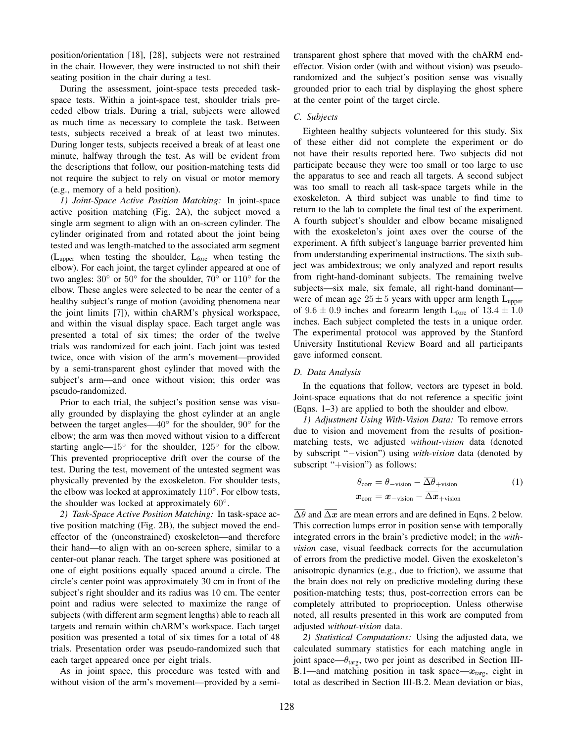position/orientation [18], [28], subjects were not restrained in the chair. However, they were instructed to not shift their seating position in the chair during a test.

During the assessment, joint-space tests preceded taskspace tests. Within a joint-space test, shoulder trials preceded elbow trials. During a trial, subjects were allowed as much time as necessary to complete the task. Between tests, subjects received a break of at least two minutes. During longer tests, subjects received a break of at least one minute, halfway through the test. As will be evident from the descriptions that follow, our position-matching tests did not require the subject to rely on visual or motor memory (e.g., memory of a held position).

*1) Joint-Space Active Position Matching:* In joint-space active position matching (Fig. 2A), the subject moved a single arm segment to align with an on-screen cylinder. The cylinder originated from and rotated about the joint being tested and was length-matched to the associated arm segment  $(L_{\text{upper}}$  when testing the shoulder,  $L_{\text{fore}}$  when testing the elbow). For each joint, the target cylinder appeared at one of two angles:  $30°$  or  $50°$  for the shoulder,  $70°$  or  $110°$  for the elbow. These angles were selected to be near the center of a healthy subject's range of motion (avoiding phenomena near the joint limits [7]), within chARM's physical workspace, and within the visual display space. Each target angle was presented a total of six times; the order of the twelve trials was randomized for each joint. Each joint was tested twice, once with vision of the arm's movement—provided by a semi-transparent ghost cylinder that moved with the subject's arm—and once without vision; this order was pseudo-randomized.

Prior to each trial, the subject's position sense was visually grounded by displaying the ghost cylinder at an angle between the target angles—40◦ for the shoulder, 90◦ for the elbow; the arm was then moved without vision to a different starting angle— $15^\circ$  for the shoulder,  $125^\circ$  for the elbow. This prevented proprioceptive drift over the course of the test. During the test, movement of the untested segment was physically prevented by the exoskeleton. For shoulder tests, the elbow was locked at approximately 110◦. For elbow tests, the shoulder was locked at approximately 60◦.

*2) Task-Space Active Position Matching:* In task-space active position matching (Fig. 2B), the subject moved the endeffector of the (unconstrained) exoskeleton—and therefore their hand—to align with an on-screen sphere, similar to a center-out planar reach. The target sphere was positioned at one of eight positions equally spaced around a circle. The circle's center point was approximately 30 cm in front of the subject's right shoulder and its radius was 10 cm. The center point and radius were selected to maximize the range of subjects (with different arm segment lengths) able to reach all targets and remain within chARM's workspace. Each target position was presented a total of six times for a total of 48 trials. Presentation order was pseudo-randomized such that each target appeared once per eight trials.

As in joint space, this procedure was tested with and without vision of the arm's movement—provided by a semitransparent ghost sphere that moved with the chARM endeffector. Vision order (with and without vision) was pseudorandomized and the subject's position sense was visually grounded prior to each trial by displaying the ghost sphere at the center point of the target circle.

### *C. Subjects*

Eighteen healthy subjects volunteered for this study. Six of these either did not complete the experiment or do not have their results reported here. Two subjects did not participate because they were too small or too large to use the apparatus to see and reach all targets. A second subject was too small to reach all task-space targets while in the exoskeleton. A third subject was unable to find time to return to the lab to complete the final test of the experiment. A fourth subject's shoulder and elbow became misaligned with the exoskeleton's joint axes over the course of the experiment. A fifth subject's language barrier prevented him from understanding experimental instructions. The sixth subject was ambidextrous; we only analyzed and report results from right-hand-dominant subjects. The remaining twelve subjects—six male, six female, all right-hand dominant were of mean age  $25 \pm 5$  years with upper arm length  $L_{\text{upper}}$ of  $9.6 \pm 0.9$  inches and forearm length  $L_{\text{fore}}$  of  $13.4 \pm 1.0$ inches. Each subject completed the tests in a unique order. The experimental protocol was approved by the Stanford University Institutional Review Board and all participants gave informed consent.

### *D. Data Analysis*

In the equations that follow, vectors are typeset in bold. Joint-space equations that do not reference a specific joint (Eqns. 1–3) are applied to both the shoulder and elbow.

*1) Adjustment Using With-Vision Data:* To remove errors due to vision and movement from the results of positionmatching tests, we adjusted *without-vision* data (denoted by subscript "−vision") using *with-vision* data (denoted by subscript "+vision") as follows:

$$
\theta_{\text{corr}} = \theta_{-\text{vision}} - \overline{\Delta\theta}_{+\text{vision}}
$$
\n
$$
x_{\text{corr}} = x_{-\text{vision}} - \overline{\Delta x}_{+\text{vision}}
$$
\n(1)

 $\overline{\Delta\theta}$  and  $\overline{\Delta x}$  are mean errors and are defined in Eqns. 2 below. This correction lumps error in position sense with temporally integrated errors in the brain's predictive model; in the *withvision* case, visual feedback corrects for the accumulation of errors from the predictive model. Given the exoskeleton's anisotropic dynamics (e.g., due to friction), we assume that the brain does not rely on predictive modeling during these position-matching tests; thus, post-correction errors can be completely attributed to proprioception. Unless otherwise noted, all results presented in this work are computed from adjusted *without-vision* data.

*2) Statistical Computations:* Using the adjusted data, we calculated summary statistics for each matching angle in joint space— $\theta_{\text{targ}}$ , two per joint as described in Section III-B.1—and matching position in task space— $x_{\text{targ}}$ , eight in total as described in Section III-B.2. Mean deviation or bias,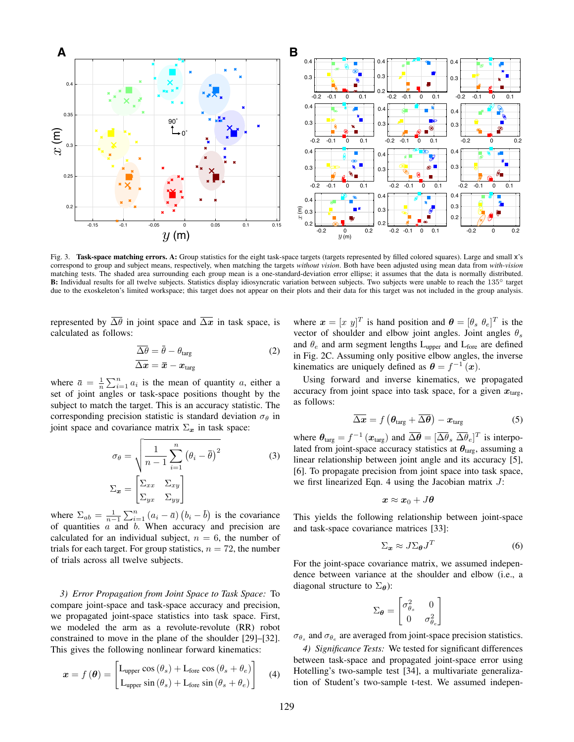

Fig. 3. Task-space matching errors. A: Group statistics for the eight task-space targets (targets represented by filled colored squares). Large and small x's correspond to group and subject means, respectively, when matching the targets *without vision*. Both have been adjusted using mean data from *with-vision* matching tests. The shaded area surrounding each group mean is a one-standard-deviation error ellipse; it assumes that the data is normally distributed. B: Individual results for all twelve subjects. Statistics display idiosyncratic variation between subjects. Two subjects were unable to reach the 135° target due to the exoskeleton's limited workspace; this target does not appear on their plots and their data for this target was not included in the group analysis.

represented by  $\overline{\Delta \theta}$  in joint space and  $\overline{\Delta x}$  in task space, is calculated as follows:

$$
\overline{\Delta \theta} = \overline{\theta} - \theta_{\text{targ}}
$$
\n
$$
\overline{\Delta x} = \overline{x} - x_{\text{targ}}
$$
\n(2)

where  $\bar{a} = \frac{1}{n} \sum_{i=1}^{n} a_i$  is the mean of quantity a, either a set of joint angles or task-space positions thought by the subject to match the target. This is an accuracy statistic. The corresponding precision statistic is standard deviation  $\sigma_{\theta}$  in joint space and covariance matrix  $\Sigma_x$  in task space:

$$
\sigma_{\theta} = \sqrt{\frac{1}{n-1} \sum_{i=1}^{n} (\theta_i - \bar{\theta})^2}
$$
\n
$$
\Sigma_{\mathbf{x}} = \begin{bmatrix} \Sigma_{xx} & \Sigma_{xy} \\ \Sigma_{yx} & \Sigma_{yy} \end{bmatrix}
$$
\n(3)

where  $\Sigma_{ab} = \frac{1}{n-1} \sum_{i=1}^{n} (a_i - \bar{a}) (b_i - \bar{b})$  is the covariance of quantities a and b. When accuracy and precision are calculated for an individual subject,  $n = 6$ , the number of trials for each target. For group statistics,  $n = 72$ , the number of trials across all twelve subjects.

*3) Error Propagation from Joint Space to Task Space:* To compare joint-space and task-space accuracy and precision, we propagated joint-space statistics into task space. First, we modeled the arm as a revolute-revolute (RR) robot constrained to move in the plane of the shoulder [29]–[32]. This gives the following nonlinear forward kinematics:

$$
\boldsymbol{x} = f(\boldsymbol{\theta}) = \begin{bmatrix} L_{\text{upper}} \cos(\theta_s) + L_{\text{fore}} \cos(\theta_s + \theta_e) \\ L_{\text{upper}} \sin(\theta_s) + L_{\text{fore}} \sin(\theta_s + \theta_e) \end{bmatrix}
$$
(4)

where  $\mathbf{x} = [x \ y]^T$  is hand position and  $\boldsymbol{\theta} = [\theta_s \ \theta_e]^T$  is the vector of shoulder and elbow joint angles. Joint angles  $\theta_s$ and  $\theta_e$  and arm segment lengths  $L_{\text{upper}}$  and  $L_{\text{fore}}$  are defined in Fig. 2C. Assuming only positive elbow angles, the inverse kinematics are uniquely defined as  $\theta = f^{-1}(x)$ .

Using forward and inverse kinematics, we propagated accuracy from joint space into task space, for a given  $x<sub>targ</sub>$ , as follows:

$$
\overline{\Delta x} = f \left( \theta_{\text{targ}} + \overline{\Delta \theta} \right) - x_{\text{targ}} \tag{5}
$$

where  $\theta_{\text{targ}} = f^{-1}(x_{\text{targ}})$  and  $\overline{\Delta \theta} = [\overline{\Delta \theta}_s \ \overline{\Delta \theta}_e]^T$  is interpolated from joint-space accuracy statistics at  $\theta_{\text{tare}}$ , assuming a linear relationship between joint angle and its accuracy [5], [6]. To propagate precision from joint space into task space, we first linearized Eqn. 4 using the Jacobian matrix J:

$$
\pmb{x} \approx \pmb{x}_0 + J \pmb{\theta}
$$

This yields the following relationship between joint-space and task-space covariance matrices [33]:

$$
\Sigma_{\bm{x}} \approx J \Sigma_{\bm{\theta}} J^T \tag{6}
$$

For the joint-space covariance matrix, we assumed independence between variance at the shoulder and elbow (i.e., a diagonal structure to  $\Sigma_{\theta}$ ):

$$
\Sigma_{\theta} = \begin{bmatrix} \sigma_{\theta_s}^2 & 0\\ 0 & \sigma_{\theta_e}^2 \end{bmatrix}
$$

 $\sigma_{\theta_s}$  and  $\sigma_{\theta_e}$  are averaged from joint-space precision statistics.

*4) Significance Tests:* We tested for significant differences between task-space and propagated joint-space error using Hotelling's two-sample test [34], a multivariate generalization of Student's two-sample t-test. We assumed indepen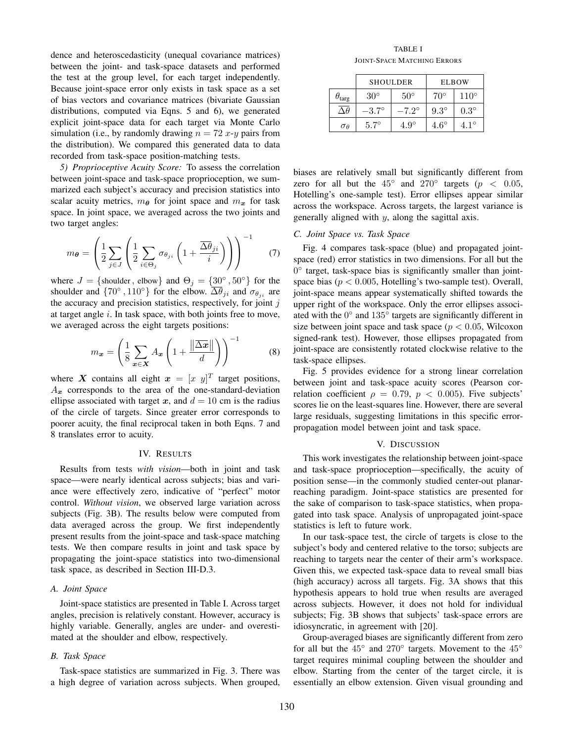dence and heteroscedasticity (unequal covariance matrices) between the joint- and task-space datasets and performed the test at the group level, for each target independently. Because joint-space error only exists in task space as a set of bias vectors and covariance matrices (bivariate Gaussian distributions, computed via Eqns. 5 and 6), we generated explicit joint-space data for each target via Monte Carlo simulation (i.e., by randomly drawing  $n = 72$  x-y pairs from the distribution). We compared this generated data to data recorded from task-space position-matching tests.

*5) Proprioceptive Acuity Score:* To assess the correlation between joint-space and task-space proprioception, we summarized each subject's accuracy and precision statistics into scalar acuity metrics,  $m_{\theta}$  for joint space and  $m_{x}$  for task space. In joint space, we averaged across the two joints and two target angles:

$$
m_{\theta} = \left(\frac{1}{2} \sum_{j \in J} \left(\frac{1}{2} \sum_{i \in \Theta_j} \sigma_{\theta_{ji}} \left(1 + \frac{\overline{\Delta \theta}_{ji}}{i}\right)\right)\right)^{-1} \tag{7}
$$

where  $J = \{\text{shoulder, elbow}\}\$ and  $\Theta_j = \{\frac{30}{50}\}\$  for the shoulder and  $\{70^\circ, 110^\circ\}$  for the elbow.  $\overline{\Delta \theta}_{ji}$  and  $\sigma_{\theta_{ji}}$  are the accuracy and precision statistics, respectively, for joint  $j$ at target angle  $i$ . In task space, with both joints free to move, we averaged across the eight targets positions:

$$
m_{\boldsymbol{x}} = \left(\frac{1}{8} \sum_{\boldsymbol{x} \in \boldsymbol{X}} A_{\boldsymbol{x}} \left(1 + \frac{\|\overline{\Delta \boldsymbol{x}}\|}{d}\right)\right)^{-1} \tag{8}
$$

where X contains all eight  $x = [x \ y]^T$  target positions,  $A_x$  corresponds to the area of the one-standard-deviation ellipse associated with target *x*, and  $d = 10$  cm is the radius of the circle of targets. Since greater error corresponds to poorer acuity, the final reciprocal taken in both Eqns. 7 and 8 translates error to acuity.

# IV. RESULTS

Results from tests *with vision*—both in joint and task space—were nearly identical across subjects; bias and variance were effectively zero, indicative of "perfect" motor control. *Without vision*, we observed large variation across subjects (Fig. 3B). The results below were computed from data averaged across the group. We first independently present results from the joint-space and task-space matching tests. We then compare results in joint and task space by propagating the joint-space statistics into two-dimensional task space, as described in Section III-D.3.

#### *A. Joint Space*

Joint-space statistics are presented in Table I. Across target angles, precision is relatively constant. However, accuracy is highly variable. Generally, angles are under- and overestimated at the shoulder and elbow, respectively.

#### *B. Task Space*

Task-space statistics are summarized in Fig. 3. There was a high degree of variation across subjects. When grouped,

TABLE I JOINT-SPACE MATCHING ERRORS

|                     | <b>SHOULDER</b> |                | <b>ELBOW</b> |               |
|---------------------|-----------------|----------------|--------------|---------------|
| $\theta_{\rm targ}$ | $30^{\circ}$    | $50^{\circ}$   | $70^{\circ}$ | $110^{\circ}$ |
| $\wedge \theta$     | $-3.7^{\circ}$  | $-7.2^{\circ}$ | $9.3^\circ$  | $0.3^\circ$   |
| $\sigma_{\theta}$   | $5.7^\circ$     | $4.9^\circ$    | $4.6^\circ$  | $41^{\circ}$  |

biases are relatively small but significantly different from zero for all but the  $45^\circ$  and  $270^\circ$  targets ( $p < 0.05$ , Hotelling's one-sample test). Error ellipses appear similar across the workspace. Across targets, the largest variance is generally aligned with  $y$ , along the sagittal axis.

#### *C. Joint Space vs. Task Space*

Fig. 4 compares task-space (blue) and propagated jointspace (red) error statistics in two dimensions. For all but the  $0<sup>°</sup>$  target, task-space bias is significantly smaller than jointspace bias ( $p < 0.005$ , Hotelling's two-sample test). Overall, joint-space means appear systematically shifted towards the upper right of the workspace. Only the error ellipses associated with the 0◦ and 135◦ targets are significantly different in size between joint space and task space ( $p < 0.05$ , Wilcoxon signed-rank test). However, those ellipses propagated from joint-space are consistently rotated clockwise relative to the task-space ellipses.

Fig. 5 provides evidence for a strong linear correlation between joint and task-space acuity scores (Pearson correlation coefficient  $\rho = 0.79$ ,  $p < 0.005$ ). Five subjects' scores lie on the least-squares line. However, there are several large residuals, suggesting limitations in this specific errorpropagation model between joint and task space.

#### V. DISCUSSION

This work investigates the relationship between joint-space and task-space proprioception—specifically, the acuity of position sense—in the commonly studied center-out planarreaching paradigm. Joint-space statistics are presented for the sake of comparison to task-space statistics, when propagated into task space. Analysis of unpropagated joint-space statistics is left to future work.

In our task-space test, the circle of targets is close to the subject's body and centered relative to the torso; subjects are reaching to targets near the center of their arm's workspace. Given this, we expected task-space data to reveal small bias (high accuracy) across all targets. Fig. 3A shows that this hypothesis appears to hold true when results are averaged across subjects. However, it does not hold for individual subjects; Fig. 3B shows that subjects' task-space errors are idiosyncratic, in agreement with [20].

Group-averaged biases are significantly different from zero for all but the  $45°$  and  $270°$  targets. Movement to the  $45°$ target requires minimal coupling between the shoulder and elbow. Starting from the center of the target circle, it is essentially an elbow extension. Given visual grounding and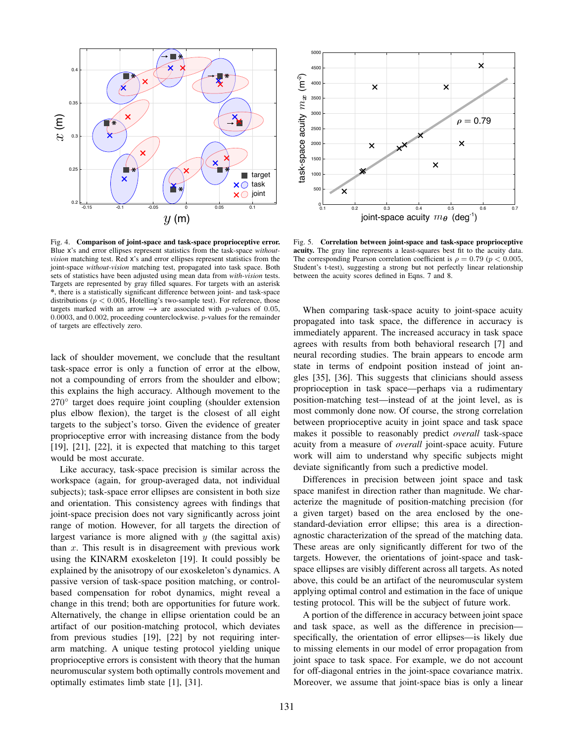

Fig. 4. Comparison of joint-space and task-space proprioceptive error. Blue x's and error ellipses represent statistics from the task-space *withoutvision* matching test. Red x's and error ellipses represent statistics from the joint-space *without-vision* matching test, propagated into task space. Both sets of statistics have been adjusted using mean data from *with-vision* tests. Targets are represented by gray filled squares. For targets with an asterisk \*, there is a statistically significant difference between joint- and task-space distributions ( $p < 0.005$ , Hotelling's two-sample test). For reference, those targets marked with an arrow  $\rightarrow$  are associated with *p*-values of 0.05, 0.0003, and 0.002, proceeding counterclockwise. p-values for the remainder of targets are effectively zero.

lack of shoulder movement, we conclude that the resultant task-space error is only a function of error at the elbow, not a compounding of errors from the shoulder and elbow; this explains the high accuracy. Although movement to the 270◦ target does require joint coupling (shoulder extension plus elbow flexion), the target is the closest of all eight targets to the subject's torso. Given the evidence of greater proprioceptive error with increasing distance from the body [19], [21], [22], it is expected that matching to this target would be most accurate.

Like accuracy, task-space precision is similar across the workspace (again, for group-averaged data, not individual subjects); task-space error ellipses are consistent in both size and orientation. This consistency agrees with findings that joint-space precision does not vary significantly across joint range of motion. However, for all targets the direction of largest variance is more aligned with  $y$  (the sagittal axis) than x. This result is in disagreement with previous work using the KINARM exoskeleton [19]. It could possibly be explained by the anisotropy of our exoskeleton's dynamics. A passive version of task-space position matching, or controlbased compensation for robot dynamics, might reveal a change in this trend; both are opportunities for future work. Alternatively, the change in ellipse orientation could be an artifact of our position-matching protocol, which deviates from previous studies [19], [22] by not requiring interarm matching. A unique testing protocol yielding unique proprioceptive errors is consistent with theory that the human neuromuscular system both optimally controls movement and optimally estimates limb state [1], [31].



Fig. 5. Correlation between joint-space and task-space proprioceptive acuity. The gray line represents a least-squares best fit to the acuity data. The corresponding Pearson correlation coefficient is  $\rho = 0.79$  ( $p < 0.005$ , Student's t-test), suggesting a strong but not perfectly linear relationship between the acuity scores defined in Eqns. 7 and 8.

When comparing task-space acuity to joint-space acuity propagated into task space, the difference in accuracy is immediately apparent. The increased accuracy in task space agrees with results from both behavioral research [7] and neural recording studies. The brain appears to encode arm state in terms of endpoint position instead of joint angles [35], [36]. This suggests that clinicians should assess proprioception in task space—perhaps via a rudimentary position-matching test—instead of at the joint level, as is most commonly done now. Of course, the strong correlation between proprioceptive acuity in joint space and task space makes it possible to reasonably predict *overall* task-space acuity from a measure of *overall* joint-space acuity. Future work will aim to understand why specific subjects might deviate significantly from such a predictive model.

Differences in precision between joint space and task space manifest in direction rather than magnitude. We characterize the magnitude of position-matching precision (for a given target) based on the area enclosed by the onestandard-deviation error ellipse; this area is a directionagnostic characterization of the spread of the matching data. These areas are only significantly different for two of the targets. However, the orientations of joint-space and taskspace ellipses are visibly different across all targets. As noted above, this could be an artifact of the neuromuscular system applying optimal control and estimation in the face of unique testing protocol. This will be the subject of future work.

A portion of the difference in accuracy between joint space and task space, as well as the difference in precision specifically, the orientation of error ellipses—is likely due to missing elements in our model of error propagation from joint space to task space. For example, we do not account for off-diagonal entries in the joint-space covariance matrix. Moreover, we assume that joint-space bias is only a linear